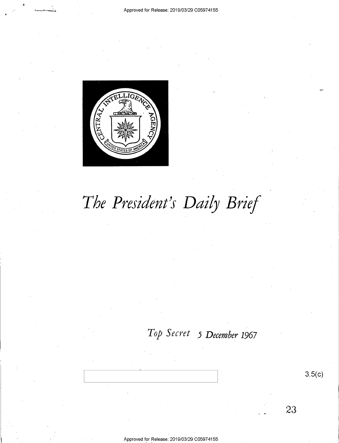

# *The President's Daily Brief*

## *Top Secret 5 December 1967*

23

3.5(c)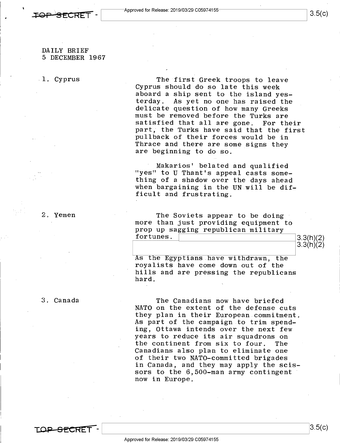

#### DAILY BRIEF 5 DECEMBER 1967

 $\overline{\phantom{a}}$ 

. 1. Cyprus

The first Greek troops to leave Cyprus should do so late this week aboard a ship sent to the island yes-<br>terday. As yet no one has raised the As yet no one has raised the delicate question of how many Greeks must be removed before the Turks are satisfied that all are gone. For their part, the Turks have said that the first pullback of their forces would be in Thrace and there are some signs they are beginning to do so.

Makarios' belated and qualified "yes" to U Thant's appeal casts something of a shadow over the days ahead when bargaining in the UN will be difficult and frustrating.

The Soviets appear to be doing more than just providing equipment to prop up sagging republican military fortunes. 3.3(h)(2) 3.3(h)(2) 3.3(h)(2) 3.3(h)(2) 3.3(h)(2) 3.3(h)(2) 3.3(h)(2) 3.3(h)(2) 3.3(h)(2)

 $3.3(h)(2)$ 

As the Egyptians have withdrawn, the roya lists have come down out of the hills and are pressing the republicans hard.

The Canadians now have briefed NATO on the extent of the defense cuts they plan in their European commitment. As part of the campaign to trim spending, Ottawa intends over the next few years to reduce its air squadrons on the continent from six to four. The Canadians also plan to eliminate one of their two NATO-committed brigades in Canada, and they may apply the scissors to the 6,5O0-man army contingent now in Europe.

2. Yemen

3. Canada

**TOP SECRET-** 3.5(c)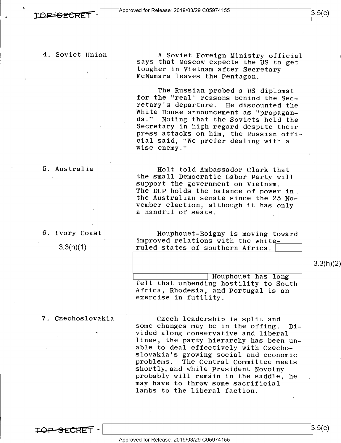## 4. Soviet Union

A Soviet Foreign Ministry official says that Moscow expects the US to get tougher in Vietnam after Secretary McNamara leaves the Pentagon.

The Russian probed a US diplomat for the "real" reasons behind the Secretary's departure. He discounted the White House announcement as "propaganda." Noting that the Soviets held the Secretary in high regard despite their press attacks on him, the Russian official said, "We prefer dealing with a wise enemy."

## 5. Australia

Holt told Ambassador Clark that the small Democratic Labor Party will, support the government on Vietnam. The DLP holds the balance of power in the Australian senate since the 25 November election, although it has only a handful of seats.

### 6. Ivory Coast

 $3.3(h)(1)$ 

Houphouet-Boigny is moving toward improved relations with the whiteruled states of southern Africa.

3.3(h)(2)

~~~~-~---c--I Houphouet has long felt that unbending hostility to South Africa, Rhodesia, and Portugal is an exercise in futility.

## 7. Czechoslovakia

Czech leadership is split and some changes may be in the offing. Divided along conservative and liberal lines, the party hierarchy has been unable to deal effectively with Czechoslovakia's growing social and economic problems. The Central Committee meets shortly, and while President Novotny probably will remain in the saddle, he may have to throw some sacrificial lambs to the liberal faction.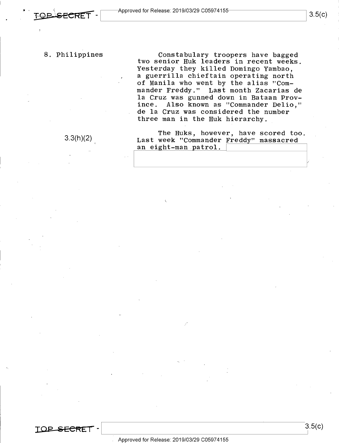Constabulary troopers have bagged two senior Huk leaders in recent weeks. Yesterday they killed Domingo Yambao, a guerrilla chieftain operating north of Manila who went by the alias "Commander Freddy." Last month Zacarias de la Cruz was gunned down in Bataan Province. Also known as "Commander Delio," de la Cruz was considered the number three man in the Huk hierarchy.

3.3(h)(2)

The Huks, however, have scored too. Last week "Commander Freddy" massacred an eight-man patrol.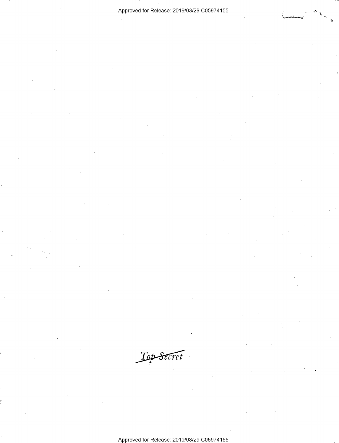-~

Top Secret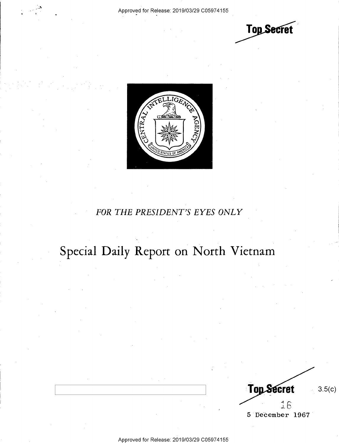$\cdot$ .,

**Top Secret** 



## *FOR THE PRESIDENT'S EYES ONLY*

## **Special Daily Report on North Vietnam**

**Top Secret** 3.5(c) 16 5 December 1967

Approved for Release: 2019/03/29 C0597 4155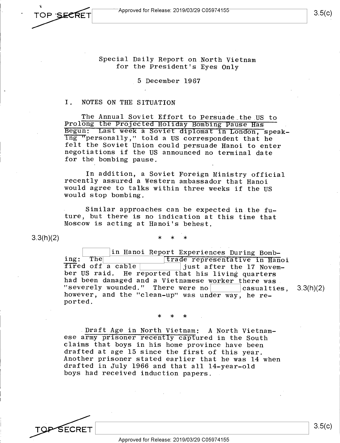Special Daily Report on North Vietnam for the President's Eyes Only

5 December 1967

#### I. NOTES ON THE SITUATION

The Annual Soviet Effort to Persuade the US to Prolong the Projected Holiday Bombing Pause Has Begun: Last week a Soviet diplomat in London, speaking "personally," told a US correspondent that he felt the Soviet Union could persuade Hanoi to enter negotiations if the US announced no terminal date for the bombing pause.

In addition, a Soviet Foreign Ministry official recently assured a Western ambassador that Hanoi would agree to talks within three weeks if the US would stop bombing.

Similar approaches can be expected in the future, but there is no indication at this time that Moscow is acting at Hanoi's behest.

3.3(h)(2)

\* \* \*

in Hanoi Report Experiences During Bombing: The **complete in the set of the set of the index**<br>
fired off a cable **i** iust after the 17 Novemjust after the 17 November US raid. He reported that his living quarters had been damaged and a Vietnamese worker there was. "severely wounded." There were no casualties,  $3.3(h)(2)$ however, and the "clean-up" was under way, he reported.

\* \* \*

. Draft Age in North Vietnam: A North Vietnamese army prisoner recently captured in the South claims that boys in his home province have been drafted at age 15 since the first of this year. Another prisoner stated earlier that he was 14 when drafted in July 1966 and that all 14-year-old boys had received induction papers.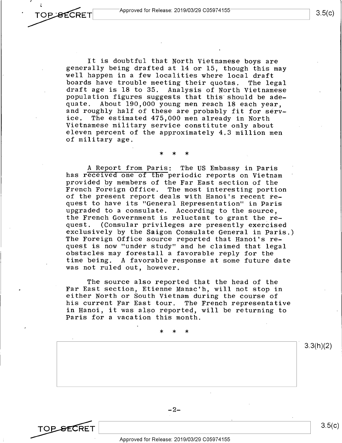It is doubtful that North Vietnamese boys are generally being drafted at 14 or 15, though this may well happen in a few localities where local draft boards have trouble meeting their quotas. The legal draft age is 18 to 35. Analysis of North Vietnamese population figures suggests that this should be ade-<br>quate. About 190.000 young men reach 18 each year. About 190,000 young men reach 18 each year, and roughly half of these are probably fit for serv-<br>ice. The estimated 475.000 men already in North The estimated 475,000 men already in North Vietnamese military service constitute only about eleven percent of the approximately 4.3 million men of military age.

## \* \* \*

A Report from Paris: The US Embassy in Paris has received one of the periodic reports on Vietnam provided by members of the Far East section of the<br>French Foreign Office. The most interesting porti The most interesting portion of the present report deals with Hanoi's recent request to have its "General Representation" in Paris upgraded to a consulate. According to the source, the French Government is reluctant to grant the re-<br>quest. (Consular privileges are presently exercise (Consular privileges are presently exercised exclusively by the Saigon Consulate General in Paris.) The Foreign Office source reported that Hanoi's request is now "under study" and he claimed that legal obstacles may forestall a favorable reply for the time being. A favorable response at some future date was not ruled out, however.

The source also reported that the head of the Far East section, Etienne Manac'h, will not stop in either North or South Vietnam during the course of his current Far East tour. The French representative in Hanoi, it was also reported, will be returning to Paris for a vacation this month.

\* \* \*

3.3(h)(2)



**TOP SECRET**<br>Approved for Release: 2019/03/29 C05974155

 $3.5(c)$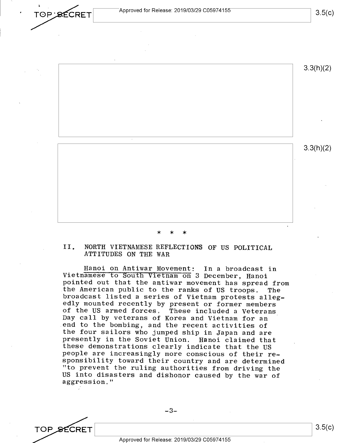





## \* \* \*

#### II. NORTH VIETNAMESE REFLECTIONS OF US POLITICAL ATTITUDES ON THE WAR

Hanoi on Antiwar Movement: In a broadcast in Vietnamese to South Vietnam on 3 December, Hanoi pointed out that the antiwar movement has spread from the American public to the ranks of US troops. The broadcast listed a series of Vietnam protests allegedly mounted recently by present or former members of the US armed forces. These included a Veterans Day call by veterans of Korea and Vietnam for an end to the bombing, and the recent activities of the four sailors who jumped ship in Japan and are presently in the Soviet Union. Hanoi claimed that these demonstrations clearly indicate that the US people are increasingly more conscious of their responsibility toward their country and are determined "to prevent the ruling authorities from driving the US into disasters and dishonor caused by the war of aggression."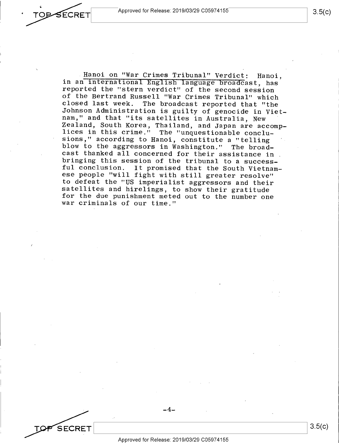Approved for Release: 2019/03/29 C05974155

SECRET

Hanoi on "War Crimes Tribunal" Verdict: Hanoi, in an international English language broadcast, has reported the "stern verdict" of the second session of the Bertrand Russell "War Crimes Tribunal" which closed last week. The broadcast reported that "the Johnson Administration is guilty of genocide in Vietnam," and that "its satellites in Australia, New Zealand, South Korea, Thailand, and Japan are accomplices in this crime." The "unquestionable conclusions," according to Hanoi, constitute a "telling blow to the aggressors in Washington." The broadcast thanked  $\overline{a11}$  concerned for their assistance in. bringing this session of the tribunal to a successful conclusion. It promised that the South Vietnamese people "will fight with still greater resolve" to defeat the "US imperialist aggressors and their for the due punishment meted out to the number one

war criminals of our time."

**SECRET** 

-4-